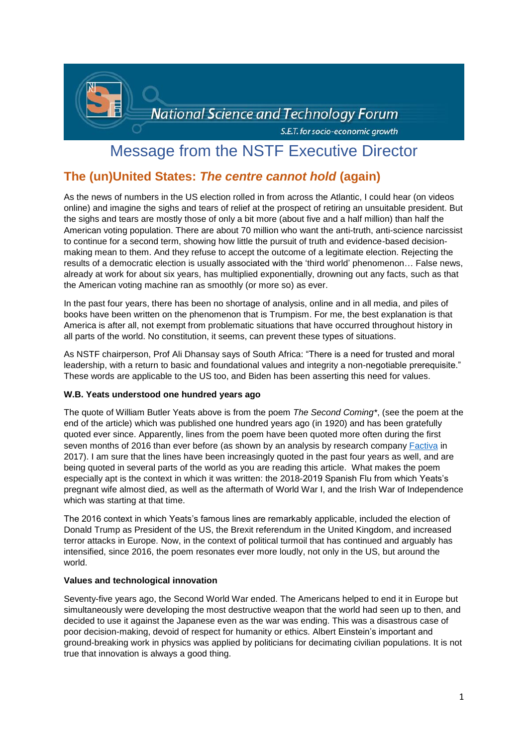

# Message from the NSTF Executive Director

# **The (un)United States:** *The centre cannot hold* **(again)**

As the news of numbers in the US election rolled in from across the Atlantic, I could hear (on videos online) and imagine the sighs and tears of relief at the prospect of retiring an unsuitable president. But the sighs and tears are mostly those of only a bit more (about five and a half million) than half the American voting population. There are about 70 million who want the anti-truth, anti-science narcissist to continue for a second term, showing how little the pursuit of truth and evidence-based decisionmaking mean to them. And they refuse to accept the outcome of a legitimate election. Rejecting the results of a democratic election is usually associated with the 'third world' phenomenon… False news, already at work for about six years, has multiplied exponentially, drowning out any facts, such as that the American voting machine ran as smoothly (or more so) as ever.

In the past four years, there has been no shortage of analysis, online and in all media, and piles of books have been written on the phenomenon that is Trumpism. For me, the best explanation is that America is after all, not exempt from problematic situations that have occurred throughout history in all parts of the world. No constitution, it seems, can prevent these types of situations.

As NSTF chairperson, Prof Ali Dhansay says of South Africa: "There is a need for trusted and moral leadership, with a return to basic and foundational values and integrity a non-negotiable prerequisite." These words are applicable to the US too, and Biden has been asserting this need for values.

## **W.B. Yeats understood one hundred years ago**

The quote of William Butler Yeats above is from the poem *The Second Coming\**, (see the poem at the end of the article) which was published one hundred years ago (in 1920) and has been gratefully quoted ever since. Apparently, lines from the poem have been quoted more often during the first seven months of 2016 than ever before (as shown by an analysis by research company [Factiva](https://en.wikipedia.org/wiki/Factiva) in 2017). I am sure that the lines have been increasingly quoted in the past four years as well, and are being quoted in several parts of the world as you are reading this article. What makes the poem especially apt is the context in which it was written: the 2018-2019 Spanish Flu from which Yeats's pregnant wife almost died, as well as the aftermath of World War I, and the Irish War of Independence which was starting at that time.

The 2016 context in which Yeats's famous lines are remarkably applicable, included the election of Donald Trump as President of the US, the Brexit referendum in the United Kingdom, and increased terror attacks in Europe. Now, in the context of political turmoil that has continued and arguably has intensified, since 2016, the poem resonates ever more loudly, not only in the US, but around the world.

## **Values and technological innovation**

Seventy-five years ago, the Second World War ended. The Americans helped to end it in Europe but simultaneously were developing the most destructive weapon that the world had seen up to then, and decided to use it against the Japanese even as the war was ending. This was a disastrous case of poor decision-making, devoid of respect for humanity or ethics. Albert Einstein's important and ground-breaking work in physics was applied by politicians for decimating civilian populations. It is not true that innovation is always a good thing.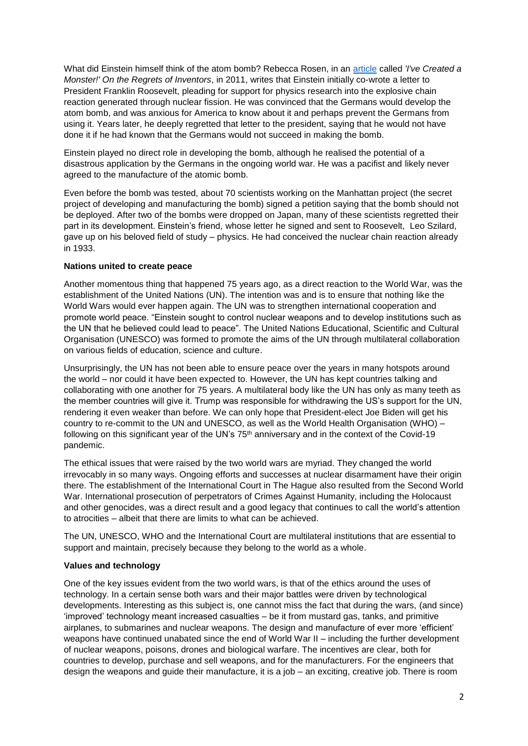What did Einstein himself think of the atom bomb? Rebecca Rosen, in an [article](https://www.theatlantic.com/technology/archive/2011/11/ive-created-a-monster-on-the-regrets-of-inventors/249044/#:~:text=Einstein%20never%20worked%20on%20the%20development%20of%20the,said%20%22I%20would%20have%20never%20lifted%20a%20finger.%22) called *'I've Created a Monster!' On the Regrets of Inventors*, in 2011, writes that Einstein initially co-wrote a letter to President Franklin Roosevelt, pleading for support for physics research into the explosive chain reaction generated through nuclear fission. He was convinced that the Germans would develop the atom bomb, and was anxious for America to know about it and perhaps prevent the Germans from using it. Years later, he deeply regretted that letter to the president, saying that he would not have done it if he had known that the Germans would not succeed in making the bomb.

Einstein played no direct role in developing the bomb, although he realised the potential of a disastrous application by the Germans in the ongoing world war. He was a pacifist and likely never agreed to the manufacture of the atomic bomb.

Even before the bomb was tested, about 70 scientists working on the Manhattan project (the secret project of developing and manufacturing the bomb) signed a petition saying that the bomb should not be deployed. After two of the bombs were dropped on Japan, many of these scientists regretted their part in its development. Einstein's friend, whose letter he signed and sent to Roosevelt, Leo Szilard, gave up on his beloved field of study – physics. He had conceived the nuclear chain reaction already in 1933.

#### **Nations united to create peace**

Another momentous thing that happened 75 years ago, as a direct reaction to the World War, was the establishment of the United Nations (UN). The intention was and is to ensure that nothing like the World Wars would ever happen again. The UN was to strengthen international cooperation and promote world peace. "Einstein sought to control nuclear weapons and to develop institutions such as the UN that he believed could lead to peace". The United Nations Educational, Scientific and Cultural Organisation (UNESCO) was formed to promote the aims of the UN through multilateral collaboration on various fields of education, science and culture.

Unsurprisingly, the UN has not been able to ensure peace over the years in many hotspots around the world – nor could it have been expected to. However, the UN has kept countries talking and collaborating with one another for 75 years. A multilateral body like the UN has only as many teeth as the member countries will give it. Trump was responsible for withdrawing the US's support for the UN, rendering it even weaker than before. We can only hope that President-elect Joe Biden will get his country to re-commit to the UN and UNESCO, as well as the World Health Organisation (WHO) – following on this significant year of the UN's 75<sup>th</sup> anniversary and in the context of the Covid-19 pandemic.

The ethical issues that were raised by the two world wars are myriad. They changed the world irrevocably in so many ways. Ongoing efforts and successes at nuclear disarmament have their origin there. The establishment of the International Court in The Hague also resulted from the Second World War. International prosecution of perpetrators of Crimes Against Humanity, including the Holocaust and other genocides, was a direct result and a good legacy that continues to call the world's attention to atrocities – albeit that there are limits to what can be achieved.

The UN, UNESCO, WHO and the International Court are multilateral institutions that are essential to support and maintain, precisely because they belong to the world as a whole.

#### **Values and technology**

One of the key issues evident from the two world wars, is that of the ethics around the uses of technology. In a certain sense both wars and their major battles were driven by technological developments. Interesting as this subject is, one cannot miss the fact that during the wars, (and since) 'improved' technology meant increased casualties – be it from mustard gas, tanks, and primitive airplanes, to submarines and nuclear weapons. The design and manufacture of ever more 'efficient' weapons have continued unabated since the end of World War II – including the further development of nuclear weapons, poisons, drones and biological warfare. The incentives are clear, both for countries to develop, purchase and sell weapons, and for the manufacturers. For the engineers that design the weapons and guide their manufacture, it is a job – an exciting, creative job. There is room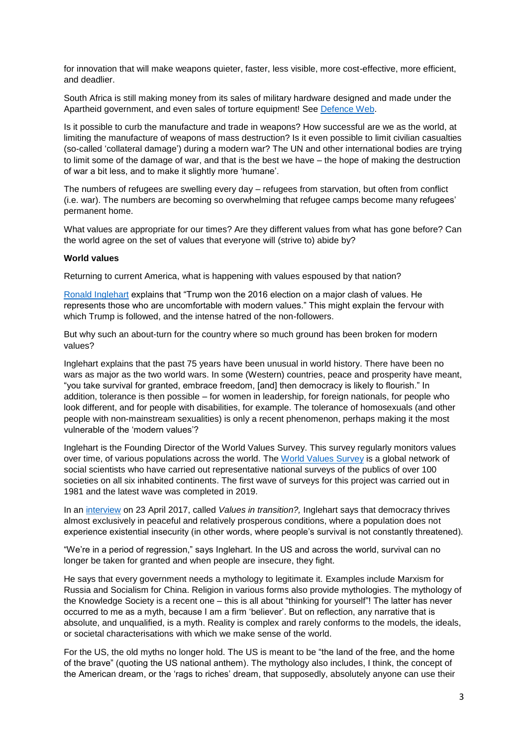for innovation that will make weapons quieter, faster, less visible, more cost-effective, more efficient, and deadlier.

South Africa is still making money from its sales of military hardware designed and made under the Apartheid government, and even sales of torture equipment! See [Defence Web.](https://www.defenceweb.co.za/industry/industry-industry/iss-south-africa-should-end-its-trade-and-use-of-torture-equipment/)

Is it possible to curb the manufacture and trade in weapons? How successful are we as the world, at limiting the manufacture of weapons of mass destruction? Is it even possible to limit civilian casualties (so-called 'collateral damage') during a modern war? The UN and other international bodies are trying to limit some of the damage of war, and that is the best we have – the hope of making the destruction of war a bit less, and to make it slightly more 'humane'.

The numbers of refugees are swelling every day – refugees from starvation, but often from conflict (i.e. war). The numbers are becoming so overwhelming that refugee camps become many refugees' permanent home.

What values are appropriate for our times? Are they different values from what has gone before? Can the world agree on the set of values that everyone will (strive to) abide by?

#### **World values**

Returning to current America, what is happening with values espoused by that nation?

Ronald [Inglehart](https://en.wikipedia.org/wiki/Ronald_Inglehart) explains that "Trump won the 2016 election on a major clash of values. He represents those who are uncomfortable with modern values." This might explain the fervour with which Trump is followed, and the intense hatred of the non-followers.

But why such an about-turn for the country where so much ground has been broken for modern values?

Inglehart explains that the past 75 years have been unusual in world history. There have been no wars as major as the two world wars. In some (Western) countries, peace and prosperity have meant, "you take survival for granted, embrace freedom, [and] then democracy is likely to flourish." In addition, tolerance is then possible – for women in leadership, for foreign nationals, for people who look different, and for people with disabilities, for example. The tolerance of homosexuals (and other people with non-mainstream sexualities) is only a recent phenomenon, perhaps making it the most vulnerable of the 'modern values'?

Inglehart is the Founding Director of the World Values Survey. This survey regularly monitors values over time, of various populations across the world. The [World Values Survey](https://en.wikipedia.org/wiki/World_Values_Survey) is a global network of social scientists who have carried out representative national surveys of the publics of over 100 societies on all six inhabited continents. The first wave of surveys for this project was carried out in 1981 and the latest wave was completed in 2019.

In an [interview](https://www.youtube.com/watch?v=4WO7DmcFNkQ&feature=emb_rel_end) on 23 April 2017, called *Values in transition?,* Inglehart says that democracy thrives almost exclusively in peaceful and relatively prosperous conditions, where a population does not experience existential insecurity (in other words, where people's survival is not constantly threatened).

"We're in a period of regression," says Inglehart. In the US and across the world, survival can no longer be taken for granted and when people are insecure, they fight.

He says that every government needs a mythology to legitimate it. Examples include Marxism for Russia and Socialism for China. Religion in various forms also provide mythologies. The mythology of the Knowledge Society is a recent one – this is all about "thinking for yourself"! The latter has never occurred to me as a myth, because I am a firm 'believer'. But on reflection, any narrative that is absolute, and unqualified, is a myth. Reality is complex and rarely conforms to the models, the ideals, or societal characterisations with which we make sense of the world.

For the US, the old myths no longer hold. The US is meant to be "the land of the free, and the home of the brave" (quoting the US national anthem). The mythology also includes, I think, the concept of the American dream, or the 'rags to riches' dream, that supposedly, absolutely anyone can use their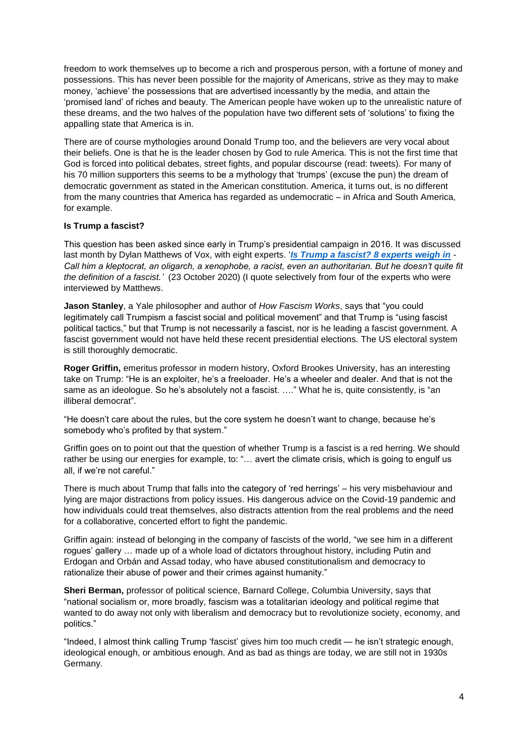freedom to work themselves up to become a rich and prosperous person, with a fortune of money and possessions. This has never been possible for the majority of Americans, strive as they may to make money, 'achieve' the possessions that are advertised incessantly by the media, and attain the 'promised land' of riches and beauty. The American people have woken up to the unrealistic nature of these dreams, and the two halves of the population have two different sets of 'solutions' to fixing the appalling state that America is in.

There are of course mythologies around Donald Trump too, and the believers are very vocal about their beliefs. One is that he is the leader chosen by God to rule America. This is not the first time that God is forced into political debates, street fights, and popular discourse (read: tweets). For many of his 70 million supporters this seems to be a mythology that 'trumps' (excuse the pun) the dream of democratic government as stated in the American constitution. America, it turns out, is no different from the many countries that America has regarded as undemocratic – in Africa and South America, for example.

# **Is Trump a fascist?**

This question has been asked since early in Trump's presidential campaign in 2016. It was discussed last month by Dylan Matthews of Vox, with eight experts. '*[Is Trump a fascist? 8 experts weigh in](https://www.vox.com/policy-and-politics/21521958/what-is-fascism-signs-donald-trump) - Call him a kleptocrat, an oligarch, a xenophobe, a racist, even an authoritarian. But he doesn't quite fit the definition of a fascist.'* (23 October 2020) (I quote selectively from four of the experts who were interviewed by Matthews.

**Jason Stanley**, a Yale philosopher and author of *How Fascism Works*, says that "you could legitimately call Trumpism a fascist social and political movement" and that Trump is "using fascist political tactics," but that Trump is not necessarily a fascist, nor is he leading a fascist government. A fascist government would not have held these recent presidential elections. The US electoral system is still thoroughly democratic.

**Roger Griffin,** emeritus professor in modern history, Oxford Brookes University, has an interesting take on Trump: "He is an exploiter, he's a freeloader. He's a wheeler and dealer. And that is not the same as an ideologue. So he's absolutely not a fascist. ...." What he is, quite consistently, is "an illiberal democrat".

"He doesn't care about the rules, but the core system he doesn't want to change, because he's somebody who's profited by that system."

Griffin goes on to point out that the question of whether Trump is a fascist is a red herring. We should rather be using our energies for example, to: "... avert the climate crisis, which is going to engulf us all, if we're not careful."

There is much about Trump that falls into the category of 'red herrings' – his very misbehaviour and lying are major distractions from policy issues. His dangerous advice on the Covid-19 pandemic and how individuals could treat themselves, also distracts attention from the real problems and the need for a collaborative, concerted effort to fight the pandemic.

Griffin again: instead of belonging in the company of fascists of the world, "we see him in a different rogues' gallery … made up of a whole load of dictators throughout history, including Putin and Erdogan and Orbán and Assad today, who have abused constitutionalism and democracy to rationalize their abuse of power and their crimes against humanity."

**Sheri Berman,** professor of political science, Barnard College, Columbia University, says that "national socialism or, more broadly, fascism was a totalitarian ideology and political regime that wanted to do away not only with liberalism and democracy but to revolutionize society, economy, and politics."

"Indeed, I almost think calling Trump 'fascist' gives him too much credit — he isn't strategic enough, ideological enough, or ambitious enough. And as bad as things are today, we are still not in 1930s Germany.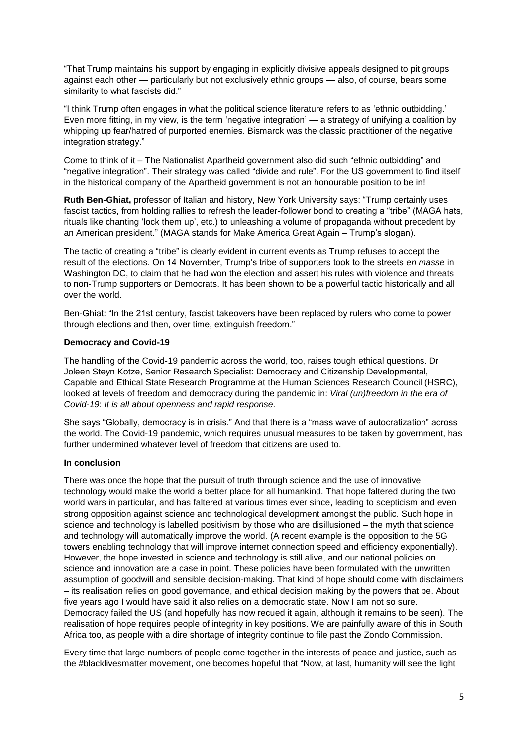"That Trump maintains his support by engaging in explicitly divisive appeals designed to pit groups against each other — particularly but not exclusively ethnic groups — also, of course, bears some similarity to what fascists did."

"I think Trump often engages in what the political science literature refers to as 'ethnic outbidding.' Even more fitting, in my view, is the term 'negative integration' — a strategy of unifying a coalition by whipping up fear/hatred of purported enemies. Bismarck was the classic practitioner of the negative integration strategy."

Come to think of it – The Nationalist Apartheid government also did such "ethnic outbidding" and "negative integration". Their strategy was called "divide and rule". For the US government to find itself in the historical company of the Apartheid government is not an honourable position to be in!

**Ruth Ben-Ghiat,** professor of Italian and history, New York University says: "Trump certainly uses fascist tactics, from holding rallies to refresh the leader-follower bond to creating a "tribe" (MAGA hats, rituals like chanting 'lock them up', etc.) to unleashing a volume of propaganda without precedent by an American president." (MAGA stands for Make America Great Again – Trump's slogan).

The tactic of creating a "tribe" is clearly evident in current events as Trump refuses to accept the result of the elections. On 14 November, Trump's tribe of supporters took to the streets *en masse* in Washington DC, to claim that he had won the election and assert his rules with violence and threats to non-Trump supporters or Democrats. It has been shown to be a powerful tactic historically and all over the world.

Ben-Ghiat: "In the 21st century, fascist takeovers have been replaced by rulers who come to power through elections and then, over time, extinguish freedom."

#### **Democracy and Covid-19**

The handling of the Covid-19 pandemic across the world, too, raises tough ethical questions. Dr Joleen Steyn Kotze, Senior Research Specialist: Democracy and Citizenship Developmental, Capable and Ethical State Research Programme at the Human Sciences Research Council (HSRC), looked at levels of freedom and democracy during the pandemic in: *Viral (un)freedom in the era of Covid-19*: *It is all about openness and rapid response.*

She says "Globally, democracy is in crisis." And that there is a "mass wave of autocratization" across the world. The Covid-19 pandemic, which requires unusual measures to be taken by government, has further undermined whatever level of freedom that citizens are used to.

#### **In conclusion**

There was once the hope that the pursuit of truth through science and the use of innovative technology would make the world a better place for all humankind. That hope faltered during the two world wars in particular, and has faltered at various times ever since, leading to scepticism and even strong opposition against science and technological development amongst the public. Such hope in science and technology is labelled positivism by those who are disillusioned – the myth that science and technology will automatically improve the world. (A recent example is the opposition to the 5G towers enabling technology that will improve internet connection speed and efficiency exponentially). However, the hope invested in science and technology is still alive, and our national policies on science and innovation are a case in point. These policies have been formulated with the unwritten assumption of goodwill and sensible decision-making. That kind of hope should come with disclaimers – its realisation relies on good governance, and ethical decision making by the powers that be. About five years ago I would have said it also relies on a democratic state. Now I am not so sure. Democracy failed the US (and hopefully has now recued it again, although it remains to be seen). The realisation of hope requires people of integrity in key positions. We are painfully aware of this in South Africa too, as people with a dire shortage of integrity continue to file past the Zondo Commission.

Every time that large numbers of people come together in the interests of peace and justice, such as the #blacklivesmatter movement, one becomes hopeful that "Now, at last, humanity will see the light